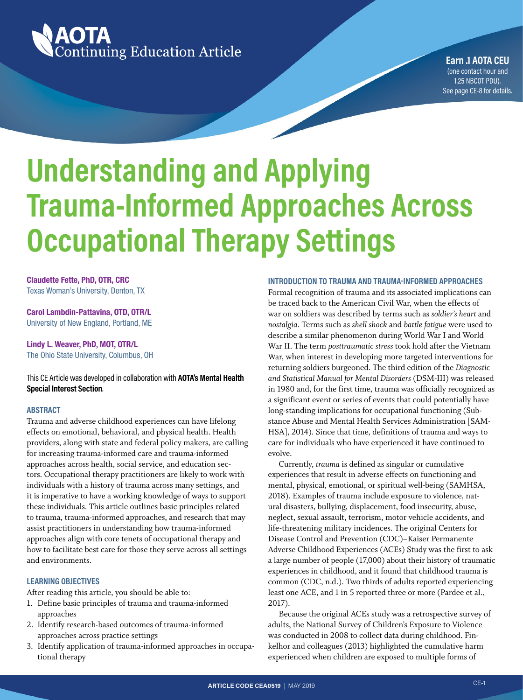

**Earn .1 AOTA CEU** (one contact hour and 1.25 NBCOT PDU). See [page CE-8](#page-7-0) for details.

# **Understanding and Applying Trauma-Informed Approaches Across Occupational Therapy Settings**

**Claudette Fette, PhD, OTR, CRC** Texas Woman's University, Denton, TX

**Carol Lambdin-Pattavina, OTD, OTR/L** University of New England, Portland, ME

**Lindy L. Weaver, PhD, MOT, OTR/L** The Ohio State University, Columbus, OH

This CE Article was developed in collaboration with **AOTA's Mental Health Special Interest Section**.

#### **ABSTRACT**

Trauma and adverse childhood experiences can have lifelong effects on emotional, behavioral, and physical health. Health providers, along with state and federal policy makers, are calling for increasing trauma-informed care and trauma-informed approaches across health, social service, and education sectors. Occupational therapy practitioners are likely to work with individuals with a history of trauma across many settings, and it is imperative to have a working knowledge of ways to support these individuals. This article outlines basic principles related to trauma, trauma-informed approaches, and research that may assist practitioners in understanding how trauma-informed approaches align with core tenets of occupational therapy and how to facilitate best care for those they serve across all settings and environments.

#### **LEARNING OBJECTIVES**

After reading this article, you should be able to:

- 1. Define basic principles of trauma and trauma-informed approaches
- 2. Identify research-based outcomes of trauma-informed approaches across practice settings
- 3. Identify application of trauma-informed approaches in occupational therapy

#### **INTRODUCTION TO TRAUMA AND TRAUMA-INFORMED APPROACHES**

Formal recognition of trauma and its associated implications can be traced back to the American Civil War, when the effects of war on soldiers was described by terms such as *soldier's heart* and *nostalgia*. Terms such as *shell shock* and *battle fatigue* were used to describe a similar phenomenon during World War I and World War II. The term *posttraumatic stress* took hold after the Vietnam War, when interest in developing more targeted interventions for returning soldiers burgeoned. The third edition of the *Diagnostic and Statistical Manual for Mental Disorders* (DSM-III) was released in 1980 and, for the first time, trauma was officially recognized as a significant event or series of events that could potentially have long-standing implications for occupational functioning (Substance Abuse and Mental Health Services Administration [SAM-HSA], 2014). Since that time, definitions of trauma and ways to care for individuals who have experienced it have continued to evolve.

Currently, *trauma* is defined as singular or cumulative experiences that result in adverse effects on functioning and mental, physical, emotional, or spiritual well-being (SAMHSA, 2018). Examples of trauma include exposure to violence, natural disasters, bullying, displacement, food insecurity, abuse, neglect, sexual assault, terrorism, motor vehicle accidents, and life-threatening military incidences. The original Centers for Disease Control and Prevention (CDC)–Kaiser Permanente Adverse Childhood Experiences (ACEs) Study was the first to ask a large number of people (17,000) about their history of traumatic experiences in childhood, and it found that childhood trauma is common (CDC, n.d.). Two thirds of adults reported experiencing least one ACE, and 1 in 5 reported three or more (Pardee et al., 2017).

Because the original ACEs study was a retrospective survey of adults, the National Survey of Children's Exposure to Violence was conducted in 2008 to collect data during childhood. Finkelhor and colleagues (2013) highlighted the cumulative harm experienced when children are exposed to multiple forms of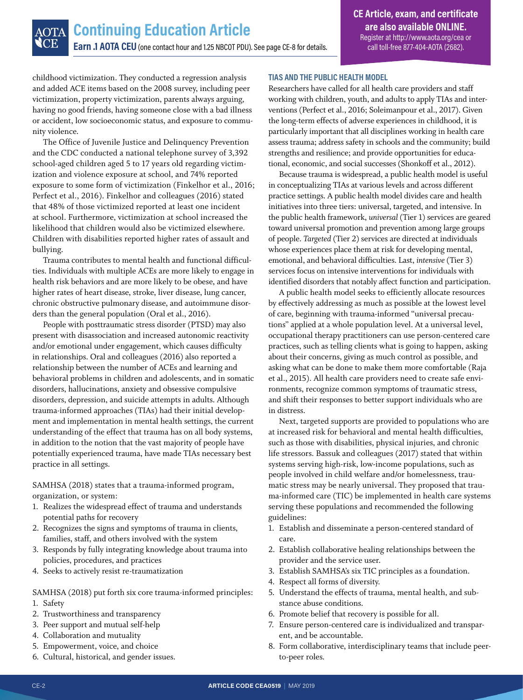childhood victimization. They conducted a regression analysis and added ACE items based on the 2008 survey, including peer victimization, property victimization, parents always arguing, having no good friends, having someone close with a bad illness or accident, low socioeconomic status, and exposure to community violence.

The Office of Juvenile Justice and Delinquency Prevention and the CDC conducted a national telephone survey of 3,392 school-aged children aged 5 to 17 years old regarding victimization and violence exposure at school, and 74% reported exposure to some form of victimization (Finkelhor et al., 2016; Perfect et al., 2016). Finkelhor and colleagues (2016) stated that 48% of those victimized reported at least one incident at school. Furthermore, victimization at school increased the likelihood that children would also be victimized elsewhere. Children with disabilities reported higher rates of assault and bullying.

Trauma contributes to mental health and functional difficulties. Individuals with multiple ACEs are more likely to engage in health risk behaviors and are more likely to be obese, and have higher rates of heart disease, stroke, liver disease, lung cancer, chronic obstructive pulmonary disease, and autoimmune disorders than the general population (Oral et al., 2016).

People with posttraumatic stress disorder (PTSD) may also present with disassociation and increased autonomic reactivity and/or emotional under engagement, which causes difficulty in relationships. Oral and colleagues (2016) also reported a relationship between the number of ACEs and learning and behavioral problems in children and adolescents, and in somatic disorders, hallucinations, anxiety and obsessive compulsive disorders, depression, and suicide attempts in adults. Although trauma-informed approaches (TIAs) had their initial development and implementation in mental health settings, the current understanding of the effect that trauma has on all body systems, in addition to the notion that the vast majority of people have potentially experienced trauma, have made TIAs necessary best practice in all settings.

SAMHSA (2018) states that a trauma-informed program, organization, or system:

- 1. Realizes the widespread effect of trauma and understands potential paths for recovery
- 2. Recognizes the signs and symptoms of trauma in clients, families, staff, and others involved with the system
- 3. Responds by fully integrating knowledge about trauma into policies, procedures, and practices
- 4. Seeks to actively resist re-traumatization

SAMHSA (2018) put forth six core trauma-informed principles: 1. Safety

- 2. Trustworthiness and transparency
- 3. Peer support and mutual self-help
- 4. Collaboration and mutuality
- 5. Empowerment, voice, and choice
- 6. Cultural, historical, and gender issues.

#### **TIAS AND THE PUBLIC HEALTH MODEL**

Researchers have called for all health care providers and staff working with children, youth, and adults to apply TIAs and interventions (Perfect et al., 2016; Soleimanpour et al., 2017). Given the long-term effects of adverse experiences in childhood, it is particularly important that all disciplines working in health care assess trauma; address safety in schools and the community; build strengths and resilience; and provide opportunities for educational, economic, and social successes (Shonkoff et al., 2012).

Because trauma is widespread, a public health model is useful in conceptualizing TIAs at various levels and across different practice settings. A public health model divides care and health initiatives into three tiers: universal, targeted, and intensive. In the public health framework, *universal* (Tier 1) services are geared toward universal promotion and prevention among large groups of people. *Targeted* (Tier 2) services are directed at individuals whose experiences place them at risk for developing mental, emotional, and behavioral difficulties. Last, *intensive* (Tier 3) services focus on intensive interventions for individuals with identified disorders that notably affect function and participation.

A public health model seeks to efficiently allocate resources by effectively addressing as much as possible at the lowest level of care, beginning with trauma-informed "universal precautions" applied at a whole population level. At a universal level, occupational therapy practitioners can use person-centered care practices, such as telling clients what is going to happen, asking about their concerns, giving as much control as possible, and asking what can be done to make them more comfortable (Raja et al., 2015). All health care providers need to create safe environments, recognize common symptoms of traumatic stress, and shift their responses to better support individuals who are in distress.

Next, targeted supports are provided to populations who are at increased risk for behavioral and mental health difficulties, such as those with disabilities, physical injuries, and chronic life stressors. Bassuk and colleagues (2017) stated that within systems serving high-risk, low-income populations, such as people involved in child welfare and/or homelessness, traumatic stress may be nearly universal. They proposed that trauma-informed care (TIC) be implemented in health care systems serving these populations and recommended the following guidelines:

- 1. Establish and disseminate a person-centered standard of care.
- 2. Establish collaborative healing relationships between the provider and the service user.
- 3. Establish SAMHSA's six TIC principles as a foundation.
- 4. Respect all forms of diversity.
- 5. Understand the effects of trauma, mental health, and substance abuse conditions.
- 6. Promote belief that recovery is possible for all.
- 7. Ensure person-centered care is individualized and transparent, and be accountable.
- 8. Form collaborative, interdisciplinary teams that include peerto-peer roles.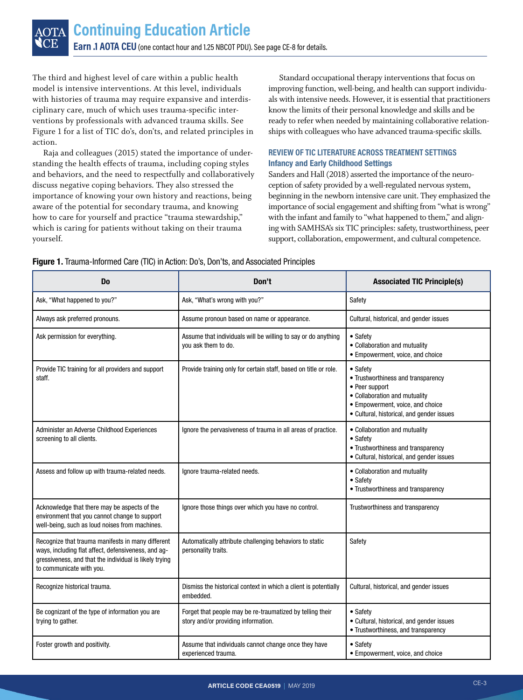The third and highest level of care within a public health model is intensive interventions. At this level, individuals with histories of trauma may require expansive and interdisciplinary care, much of which uses trauma-specific interventions by professionals with advanced trauma skills. See Figure 1 for a list of TIC do's, don'ts, and related principles in action.

Raja and colleagues (2015) stated the importance of understanding the health effects of trauma, including coping styles and behaviors, and the need to respectfully and collaboratively discuss negative coping behaviors. They also stressed the importance of knowing your own history and reactions, being aware of the potential for secondary trauma, and knowing how to care for yourself and practice "trauma stewardship," which is caring for patients without taking on their trauma yourself.

Standard occupational therapy interventions that focus on improving function, well-being, and health can support individuals with intensive needs. However, it is essential that practitioners know the limits of their personal knowledge and skills and be ready to refer when needed by maintaining collaborative relationships with colleagues who have advanced trauma-specific skills.

#### **REVIEW OF TIC LITERATURE ACROSS TREATMENT SETTINGS Infancy and Early Childhood Settings**

Sanders and Hall (2018) asserted the importance of the neuroception of safety provided by a well-regulated nervous system, beginning in the newborn intensive care unit. They emphasized the importance of social engagement and shifting from "what is wrong" with the infant and family to "what happened to them," and aligning with SAMHSA's six TIC principles: safety, trustworthiness, peer support, collaboration, empowerment, and cultural competence.

| D <sub>0</sub>                                                                                                                                                                                 | Don't                                                                                            | <b>Associated TIC Principle(s)</b>                                                                                                                                                 |
|------------------------------------------------------------------------------------------------------------------------------------------------------------------------------------------------|--------------------------------------------------------------------------------------------------|------------------------------------------------------------------------------------------------------------------------------------------------------------------------------------|
| Ask, "What happened to you?"                                                                                                                                                                   | Ask, "What's wrong with you?"                                                                    | Safety                                                                                                                                                                             |
| Always ask preferred pronouns.                                                                                                                                                                 | Assume pronoun based on name or appearance.                                                      | Cultural, historical, and gender issues                                                                                                                                            |
| Ask permission for everything.                                                                                                                                                                 | Assume that individuals will be willing to say or do anything<br>you ask them to do.             | • Safety<br>• Collaboration and mutuality<br>• Empowerment, voice, and choice                                                                                                      |
| Provide TIC training for all providers and support<br>staff.                                                                                                                                   | Provide training only for certain staff, based on title or role.                                 | • Safety<br>• Trustworthiness and transparency<br>• Peer support<br>• Collaboration and mutuality<br>• Empowerment, voice, and choice<br>• Cultural, historical, and gender issues |
| Administer an Adverse Childhood Experiences<br>screening to all clients.                                                                                                                       | Ignore the pervasiveness of trauma in all areas of practice.                                     | • Collaboration and mutuality<br>• Safety<br>• Trustworthiness and transparency<br>• Cultural, historical, and gender issues                                                       |
| Assess and follow up with trauma-related needs.                                                                                                                                                | Ignore trauma-related needs.                                                                     | • Collaboration and mutuality<br>• Safety<br>• Trustworthiness and transparency                                                                                                    |
| Acknowledge that there may be aspects of the<br>environment that you cannot change to support<br>well-being, such as loud noises from machines.                                                | Ignore those things over which you have no control.                                              | Trustworthiness and transparency                                                                                                                                                   |
| Recognize that trauma manifests in many different<br>ways, including flat affect, defensiveness, and ag-<br>gressiveness, and that the individual is likely trying<br>to communicate with you. | Automatically attribute challenging behaviors to static<br>personality traits.                   | Safety                                                                                                                                                                             |
| Recognize historical trauma.                                                                                                                                                                   | Dismiss the historical context in which a client is potentially<br>embedded.                     | Cultural, historical, and gender issues                                                                                                                                            |
| Be cognizant of the type of information you are<br>trying to gather.                                                                                                                           | Forget that people may be re-traumatized by telling their<br>story and/or providing information. | • Safetv<br>• Cultural, historical, and gender issues<br>• Trustworthiness, and transparency                                                                                       |
| Foster growth and positivity.                                                                                                                                                                  | Assume that individuals cannot change once they have<br>experienced trauma.                      | • Safety<br>• Empowerment, voice, and choice                                                                                                                                       |

**Figure 1.** Trauma-Informed Care (TIC) in Action: Do's, Don'ts, and Associated Principles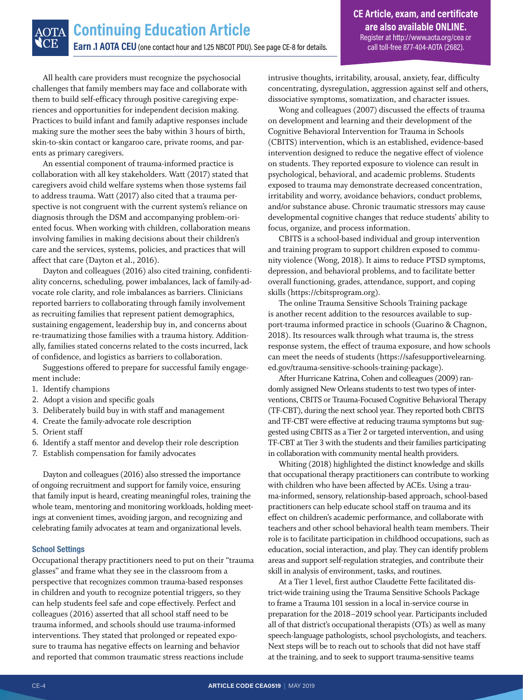All health care providers must recognize the psychosocial challenges that family members may face and collaborate with them to build self-efficacy through positive caregiving experiences and opportunities for independent decision making. Practices to build infant and family adaptive responses include making sure the mother sees the baby within 3 hours of birth, skin-to-skin contact or kangaroo care, private rooms, and parents as primary caregivers.

An essential component of trauma-informed practice is collaboration with all key stakeholders. Watt (2017) stated that caregivers avoid child welfare systems when those systems fail to address trauma. Watt (2017) also cited that a trauma perspective is not congruent with the current system's reliance on diagnosis through the DSM and accompanying problem-oriented focus. When working with children, collaboration means involving families in making decisions about their children's care and the services, systems, policies, and practices that will affect that care (Dayton et al., 2016).

Dayton and colleagues (2016) also cited training, confidentiality concerns, scheduling, power imbalances, lack of family-advocate role clarity, and role imbalances as barriers. Clinicians reported barriers to collaborating through family involvement as recruiting families that represent patient demographics, sustaining engagement, leadership buy in, and concerns about re-traumatizing those families with a trauma history. Additionally, families stated concerns related to the costs incurred, lack of confidence, and logistics as barriers to collaboration.

Suggestions offered to prepare for successful family engagement include:

- 1. Identify champions
- 2. Adopt a vision and specific goals
- 3. Deliberately build buy in with staff and management
- 4. Create the family-advocate role description
- 5. Orient staff
- 6. Identify a staff mentor and develop their role description
- 7. Establish compensation for family advocates

Dayton and colleagues (2016) also stressed the importance of ongoing recruitment and support for family voice, ensuring that family input is heard, creating meaningful roles, training the whole team, mentoring and monitoring workloads, holding meetings at convenient times, avoiding jargon, and recognizing and celebrating family advocates at team and organizational levels.

#### **School Settings**

Occupational therapy practitioners need to put on their "trauma glasses" and frame what they see in the classroom from a perspective that recognizes common trauma-based responses in children and youth to recognize potential triggers, so they can help students feel safe and cope effectively. Perfect and colleagues (2016) asserted that all school staff need to be trauma informed, and schools should use trauma-informed interventions. They stated that prolonged or repeated exposure to trauma has negative effects on learning and behavior and reported that common traumatic stress reactions include

intrusive thoughts, irritability, arousal, anxiety, fear, difficulty concentrating, dysregulation, aggression against self and others, dissociative symptoms, somatization, and character issues.

Wong and colleagues (2007) discussed the effects of trauma on development and learning and their development of the Cognitive Behavioral Intervention for Trauma in Schools (CBITS) intervention, which is an established, evidence-based intervention designed to reduce the negative effect of violence on students. They reported exposure to violence can result in psychological, behavioral, and academic problems. Students exposed to trauma may demonstrate decreased concentration, irritability and worry, avoidance behaviors, conduct problems, and/or substance abuse. Chronic traumatic stressors may cause developmental cognitive changes that reduce students' ability to focus, organize, and process information.

CBITS is a school-based individual and group intervention and training program to support children exposed to community violence (Wong, 2018). It aims to reduce PTSD symptoms, depression, and behavioral problems, and to facilitate better overall functioning, grades, attendance, support, and coping skills [\(https://cbitsprogram.org\)](https://cbitsprogram.org).

The online Trauma Sensitive Schools Training package is another recent addition to the resources available to support-trauma informed practice in schools (Guarino & Chagnon, 2018). Its resources walk through what trauma is, the stress response system, the effect of trauma exposure, and how schools can meet the needs of students [\(https://safesupportivelearning.](https://safesupportivelearning.ed.gov/trauma-sensitive-schools-training-package) [ed.gov/trauma-sensitive-schools-training-package](https://safesupportivelearning.ed.gov/trauma-sensitive-schools-training-package)).

After Hurricane Katrina, Cohen and colleagues (2009) randomly assigned New Orleans students to test two types of interventions, CBITS or Trauma-Focused Cognitive Behavioral Therapy (TF-CBT), during the next school year. They reported both CBITS and TF-CBT were effective at reducing trauma symptoms but suggested using CBITS as a Tier 2 or targeted intervention, and using TF-CBT at Tier 3 with the students and their families participating in collaboration with community mental health providers.

Whiting (2018) highlighted the distinct knowledge and skills that occupational therapy practitioners can contribute to working with children who have been affected by ACEs. Using a trauma-informed, sensory, relationship-based approach, school-based practitioners can help educate school staff on trauma and its effect on children's academic performance, and collaborate with teachers and other school behavioral health team members. Their role is to facilitate participation in childhood occupations, such as education, social interaction, and play. They can identify problem areas and support self-regulation strategies, and contribute their skill in analysis of environment, tasks, and routines.

At a Tier 1 level, first author Claudette Fette facilitated district-wide training using the Trauma Sensitive Schools Package to frame a Trauma 101 session in a local in-service course in preparation for the 2018–2019 school year. Participants included all of that district's occupational therapists (OTs) as well as many speech-language pathologists, school psychologists, and teachers. Next steps will be to reach out to schools that did not have staff at the training, and to seek to support trauma-sensitive teams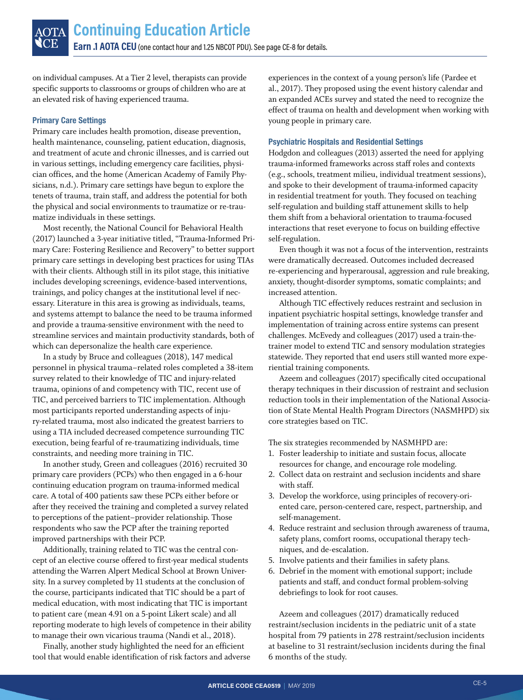on individual campuses. At a Tier 2 level, therapists can provide specific supports to classrooms or groups of children who are at an elevated risk of having experienced trauma.

#### **Primary Care Settings**

Primary care includes health promotion, disease prevention, health maintenance, counseling, patient education, diagnosis, and treatment of acute and chronic illnesses, and is carried out in various settings, including emergency care facilities, physician offices, and the home (American Academy of Family Physicians, n.d.). Primary care settings have begun to explore the tenets of trauma, train staff, and address the potential for both the physical and social environments to traumatize or re-traumatize individuals in these settings.

Most recently, the National Council for Behavioral Health (2017) launched a 3-year initiative titled, "Trauma-Informed Primary Care: Fostering Resilience and Recovery" to better support primary care settings in developing best practices for using TIAs with their clients. Although still in its pilot stage, this initiative includes developing screenings, evidence-based interventions, trainings, and policy changes at the institutional level if necessary. Literature in this area is growing as individuals, teams, and systems attempt to balance the need to be trauma informed and provide a trauma-sensitive environment with the need to streamline services and maintain productivity standards, both of which can depersonalize the health care experience.

In a study by Bruce and colleagues (2018), 147 medical personnel in physical trauma–related roles completed a 38-item survey related to their knowledge of TIC and injury-related trauma, opinions of and competency with TIC, recent use of TIC, and perceived barriers to TIC implementation. Although most participants reported understanding aspects of injury-related trauma, most also indicated the greatest barriers to using a TIA included decreased competence surrounding TIC execution, being fearful of re-traumatizing individuals, time constraints, and needing more training in TIC.

In another study, Green and colleagues (2016) recruited 30 primary care providers (PCPs) who then engaged in a 6-hour continuing education program on trauma-informed medical care. A total of 400 patients saw these PCPs either before or after they received the training and completed a survey related to perceptions of the patient–provider relationship. Those respondents who saw the PCP after the training reported improved partnerships with their PCP.

Additionally, training related to TIC was the central concept of an elective course offered to first-year medical students attending the Warren Alpert Medical School at Brown University. In a survey completed by 11 students at the conclusion of the course, participants indicated that TIC should be a part of medical education, with most indicating that TIC is important to patient care (mean 4.91 on a 5-point Likert scale) and all reporting moderate to high levels of competence in their ability to manage their own vicarious trauma (Nandi et al., 2018).

Finally, another study highlighted the need for an efficient tool that would enable identification of risk factors and adverse experiences in the context of a young person's life (Pardee et al., 2017). They proposed using the event history calendar and an expanded ACEs survey and stated the need to recognize the effect of trauma on health and development when working with young people in primary care.

#### **Psychiatric Hospitals and Residential Settings**

Hodgdon and colleagues (2013) asserted the need for applying trauma-informed frameworks across staff roles and contexts (e.g., schools, treatment milieu, individual treatment sessions), and spoke to their development of trauma-informed capacity in residential treatment for youth. They focused on teaching self-regulation and building staff attunement skills to help them shift from a behavioral orientation to trauma-focused interactions that reset everyone to focus on building effective self-regulation.

Even though it was not a focus of the intervention, restraints were dramatically decreased. Outcomes included decreased re-experiencing and hyperarousal, aggression and rule breaking, anxiety, thought-disorder symptoms, somatic complaints; and increased attention.

Although TIC effectively reduces restraint and seclusion in inpatient psychiatric hospital settings, knowledge transfer and implementation of training across entire systems can present challenges. McEvedy and colleagues (2017) used a train-thetrainer model to extend TIC and sensory modulation strategies statewide. They reported that end users still wanted more experiential training components.

Azeem and colleagues (2017) specifically cited occupational therapy techniques in their discussion of restraint and seclusion reduction tools in their implementation of the National Association of State Mental Health Program Directors (NASMHPD) six core strategies based on TIC.

The six strategies recommended by NASMHPD are:

- 1. Foster leadership to initiate and sustain focus, allocate resources for change, and encourage role modeling.
- 2. Collect data on restraint and seclusion incidents and share with staff.
- 3. Develop the workforce, using principles of recovery-oriented care, person-centered care, respect, partnership, and self-management.
- 4. Reduce restraint and seclusion through awareness of trauma, safety plans, comfort rooms, occupational therapy techniques, and de-escalation.
- 5. Involve patients and their families in safety plans.
- 6. Debrief in the moment with emotional support; include patients and staff, and conduct formal problem-solving debriefings to look for root causes.

Azeem and colleagues (2017) dramatically reduced restraint/seclusion incidents in the pediatric unit of a state hospital from 79 patients in 278 restraint/seclusion incidents at baseline to 31 restraint/seclusion incidents during the final 6 months of the study.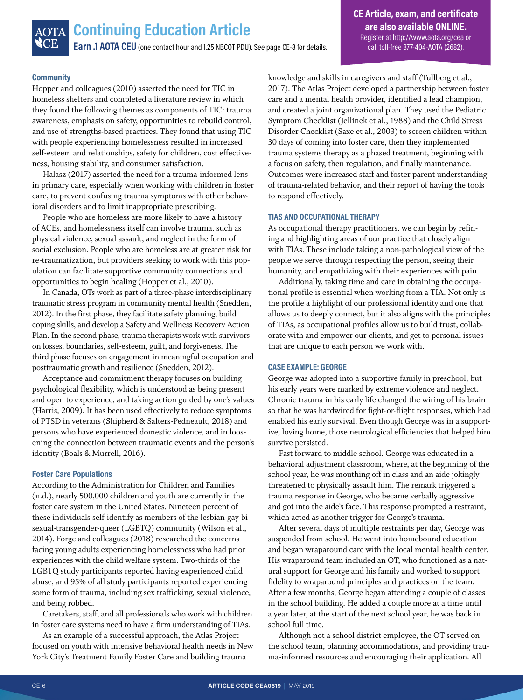#### **Community**

Hopper and colleagues (2010) asserted the need for TIC in homeless shelters and completed a literature review in which they found the following themes as components of TIC: trauma awareness, emphasis on safety, opportunities to rebuild control, and use of strengths-based practices. They found that using TIC with people experiencing homelessness resulted in increased self-esteem and relationships, safety for children, cost effectiveness, housing stability, and consumer satisfaction.

Halasz (2017) asserted the need for a trauma-informed lens in primary care, especially when working with children in foster care, to prevent confusing trauma symptoms with other behavioral disorders and to limit inappropriate prescribing.

People who are homeless are more likely to have a history of ACEs, and homelessness itself can involve trauma, such as physical violence, sexual assault, and neglect in the form of social exclusion. People who are homeless are at greater risk for re-traumatization, but providers seeking to work with this population can facilitate supportive community connections and opportunities to begin healing (Hopper et al., 2010).

In Canada, OTs work as part of a three-phase interdisciplinary traumatic stress program in community mental health (Snedden, 2012). In the first phase, they facilitate safety planning, build coping skills, and develop a Safety and Wellness Recovery Action Plan. In the second phase, trauma therapists work with survivors on losses, boundaries, self-esteem, guilt, and forgiveness. The third phase focuses on engagement in meaningful occupation and posttraumatic growth and resilience (Snedden, 2012).

Acceptance and commitment therapy focuses on building psychological flexibility, which is understood as being present and open to experience, and taking action guided by one's values (Harris, 2009). It has been used effectively to reduce symptoms of PTSD in veterans (Shipherd & Salters-Pedneault, 2018) and persons who have experienced domestic violence, and in loosening the connection between traumatic events and the person's identity (Boals & Murrell, 2016).

#### **Foster Care Populations**

According to the Administration for Children and Families (n.d.), nearly 500,000 children and youth are currently in the foster care system in the United States. Nineteen percent of these individuals self-identify as members of the lesbian-gay-bisexual-transgender-queer (LGBTQ) community (Wilson et al., 2014). Forge and colleagues (2018) researched the concerns facing young adults experiencing homelessness who had prior experiences with the child welfare system. Two-thirds of the LGBTQ study participants reported having experienced child abuse, and 95% of all study participants reported experiencing some form of trauma, including sex trafficking, sexual violence, and being robbed.

Caretakers, staff, and all professionals who work with children in foster care systems need to have a firm understanding of TIAs.

As an example of a successful approach, the Atlas Project focused on youth with intensive behavioral health needs in New York City's Treatment Family Foster Care and building trauma

knowledge and skills in caregivers and staff (Tullberg et al., 2017). The Atlas Project developed a partnership between foster care and a mental health provider, identified a lead champion, and created a joint organizational plan. They used the Pediatric Symptom Checklist (Jellinek et al., 1988) and the Child Stress Disorder Checklist (Saxe et al., 2003) to screen children within 30 days of coming into foster care, then they implemented trauma systems therapy as a phased treatment, beginning with a focus on safety, then regulation, and finally maintenance. Outcomes were increased staff and foster parent understanding of trauma-related behavior, and their report of having the tools to respond effectively.

#### **TIAS AND OCCUPATIONAL THERAPY**

As occupational therapy practitioners, we can begin by refining and highlighting areas of our practice that closely align with TIAs. These include taking a non-pathological view of the people we serve through respecting the person, seeing their humanity, and empathizing with their experiences with pain.

Additionally, taking time and care in obtaining the occupational profile is essential when working from a TIA. Not only is the profile a highlight of our professional identity and one that allows us to deeply connect, but it also aligns with the principles of TIAs, as occupational profiles allow us to build trust, collaborate with and empower our clients, and get to personal issues that are unique to each person we work with.

#### **CASE EXAMPLE: GEORGE**

George was adopted into a supportive family in preschool, but his early years were marked by extreme violence and neglect. Chronic trauma in his early life changed the wiring of his brain so that he was hardwired for fight-or-flight responses, which had enabled his early survival. Even though George was in a supportive, loving home, those neurological efficiencies that helped him survive persisted.

Fast forward to middle school. George was educated in a behavioral adjustment classroom, where, at the beginning of the school year, he was mouthing off in class and an aide jokingly threatened to physically assault him. The remark triggered a trauma response in George, who became verbally aggressive and got into the aide's face. This response prompted a restraint, which acted as another trigger for George's trauma.

After several days of multiple restraints per day, George was suspended from school. He went into homebound education and began wraparound care with the local mental health center. His wraparound team included an OT, who functioned as a natural support for George and his family and worked to support fidelity to wraparound principles and practices on the team. After a few months, George began attending a couple of classes in the school building. He added a couple more at a time until a year later, at the start of the next school year, he was back in school full time.

Although not a school district employee, the OT served on the school team, planning accommodations, and providing trauma-informed resources and encouraging their application. All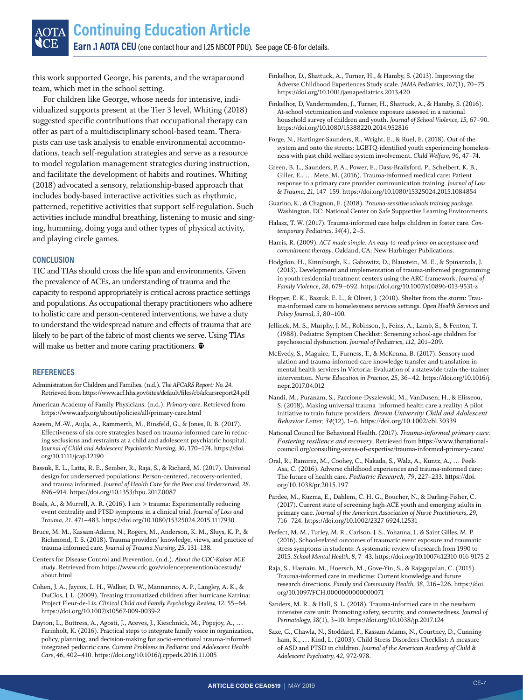this work supported George, his parents, and the wraparound team, which met in the school setting.

For children like George, whose needs for intensive, individualized supports present at the Tier 3 level, Whiting (2018) suggested specific contributions that occupational therapy can offer as part of a multidisciplinary school-based team. Therapists can use task analysis to enable environmental accommodations, teach self-regulation strategies and serve as a resource to model regulation management strategies during instruction, and facilitate the development of habits and routines. Whiting (2018) advocated a sensory, relationship-based approach that includes body-based interactive activities such as rhythmic, patterned, repetitive activities that support self-regulation. Such activities include mindful breathing, listening to music and singing, humming, doing yoga and other types of physical activity, and playing circle games.

#### **CONCLUSION**

TIC and TIAs should cross the life span and environments. Given the prevalence of ACEs, an understanding of trauma and the capacity to respond appropriately is critical across practice settings and populations. As occupational therapy practitioners who adhere to holistic care and person-centered interventions, we have a duty to understand the widespread nature and effects of trauma that are likely to be part of the fabric of most clients we serve. Using TIAs will make us better and more caring practitioners.  $\mathbf{\mathbf{\Phi}}$ 

#### **REFERENCES**

- Administration for Children and Families. (n.d.). *The AFCARS Report: No. 24*. Retrieved from<https://www.acf.hhs.gov/sites/default/files/cb/afcarsreport24.pdf>
- American Academy of Family Physicians. (n.d.). *Primary care*. Retrieved from <https://www.aafp.org/about/policies/all/primary-care.html>
- Azeem, M.-W., Aujla, A., Rammerth, M., Binsfeld, G., & Jones, R. B. (2017). Effectiveness of six core strategies based on trauma-informed care in reducing seclusions and restraints at a child and adolescent psychiatric hospital. *Journal of Child and Adolescent Psychiatric Nursing, 30*, 170–174. [https://doi.](https://doi.org/10.1111/jcap.12190) [org/10.1111/jcap.12190](https://doi.org/10.1111/jcap.12190)
- Bassuk, E. L., Latta, R. E., Sember, R., Raja, S., & Richard, M. (2017). Universal design for underserved populations: Person-centered, recovery-oriented, and trauma informed. *Journal of Health Care for the Poor and Underserved, 28*, 896–914. <https://doi.org/10.1353/hpu.2017.0087>
- Boals, A., & Murrell, A. R. (2016). I am > trauma: Experimentally reducing event centrality and PTSD symptoms in a clinical trial. *Journal of Loss and Trauma, 21*, 471–483.<https://doi.org/10.1080/15325024.2015.1117930>
- Bruce, M. M., Kassam-Adams, N., Rogers, M., Anderson, K. M., Sluys, K. P., & Richmond, T. S. (2018). Trauma providers' knowledge, views, and practice of trauma-informed care. *Journal of Trauma Nursing, 25*, 131–138.
- Centers for Disease Control and Prevention. (n.d.). *About the CDC-Kaiser ACE study*. Retrieved from [https://www.cdc.gov/violenceprevention/acestudy/](https://www.cdc.gov/violenceprevention/acestudy/about.html) [about.html](https://www.cdc.gov/violenceprevention/acestudy/about.html)
- Cohen, J. A., Jaycox, L. H., Walker, D. W., Mannarino, A. P., Langley, A. K., & DuClos, J. L. (2009). Treating traumatized children after hurricane Katrina: Project Fleur-de-Lis. *Clinical Child and Family Psychology Review, 12*, 55–64. <https://doi.org/10.1007/s10567-009-0039-2>
- Dayton, L., Buttress, A., Agosti, J., Aceves, J., Kieschnick, M., Popejoy, A., … Farinholt, K. (2016). Practical steps to integrate family voice in organization, policy, planning, and decision-making for socio-emotional trauma-informed integrated pediatric care. *Current Problems in Pediatric and Adolescent Health Care, 46*, 402–410. <https://doi.org/10.1016/j.cppeds.2016.11.005>
- Finkelhor, D., Shattuck, A., Turner, H., & Hamby, S. (2013). Improving the Adverse Childhood Experiences Study scale. *JAMA Pediatrics, 167*(1), 70–75. <https://doi.org/10.1001/jamapediatrics.2013.420>
- Finkelhor, D, Vanderminden, J., Turner, H., Shattuck, A., & Hamby, S. (2016). At-school victimization and violence exposure assessed in a national household survey of children and youth. *Journal of School Violence, 15*, 67–90. <https://doi.org/10.1080/15388220.2014.952816>
- Forge, N., Hartinger-Saunders, R., Wright, E., & Ruel, E. (2018). Out of the system and onto the streets: LGBTQ-identified youth experiencing homelessness with past child welfare system involvement. *Child Welfare, 96*, 47–74.
- Green, B. L., Saunders, P. A., Power, E., Dass-Brailsford, P., Schelbert, K. B., Giller, E., … Mete, M. (2016). Trauma-informed medical care: Patient response to a primary care provider communication training. *Journal of Loss & Trauma, 21*, 147–159.<https://doi.org/10.1080/15325024.2015.1084854>
- Guarino, K., & Chagnon, E. (2018). *Trauma-sensitive schools training package*. Washington, DC: National Center on Safe Supportive Learning Environments.
- Halasz, T. W. (2017). Trauma-informed care helps children in foster care. *Contemporary Pediatrics, 34*(4), 2–5.
- Harris, R. (2009). *ACT made simple: An easy-to-read primer on acceptance and commitment therapy*. Oakland, CA: New Harbinger Publications.
- Hodgdon, H., Kinniburgh, K., Gabowitz, D., Blaustein, M. E., & Spinazzola, J. (2013). Development and implementation of trauma-informed programming in youth residential treatment centers using the ARC framework. *Journal of Family Violence, 28*, 679–692. <https://doi.org/10.1007/s10896-013-9531-z>
- Hopper, E. K., Bassuk, E. L., & Olivet, J. (2010). Shelter from the storm: Trauma-informed care in homelessness services settings. *Open Health Services and Policy Journal, 3*, 80–100.
- Jellinek, M. S., Murphy, J. M., Robinson, J., Feins, A., Lamb, S., & Fenton, T. (1988). Pediatric Symptom Checklist: Screening school-age children for psychosocial dysfunction. *Journal of Pediatrics, 112*, 201–209.
- McEvedy, S., Maguire, T., Furness, T., & McKenna, B. (2017). Sensory modulation and trauma-informed-care knowledge transfer and translation in mental health services in Victoria: Evaluation of a statewide train-the-trainer intervention. *Nurse Education in Practice, 25*, 36–42. [https://doi.org/10.1016/j.](https://doi.org/10.1016/j.nepr.2017.04.012) [nepr.2017.04.012](https://doi.org/10.1016/j.nepr.2017.04.012)
- Nandi, M., Puranam, S., Paccione-Dyszlewski, M., VanDusen, H., & Elisseou, S. (2018). Making universal trauma informed health care a reality: A pilot initiative to train future providers. *Brown University Child and Adolescent Behavior Letter, 34*(12), 1–6. <https://doi.org/10.1002/cbl.30339>
- National Council for Behavioral Health. (2017). *Trauma-informed primary care: Fostering resilience and recovery*. Retrieved from [https://www.thenational](https://www.thenationalcouncil.org/consulting-areas-of-expertise/trauma-informed-primary-care/)[council.org/consulting-areas-of-expertise/trauma-informed-primary-care/](https://www.thenationalcouncil.org/consulting-areas-of-expertise/trauma-informed-primary-care/)
- Oral, R., Ramirez, M., Coohey, C., Nakada, S., Walz, A., Kuntz, A., … Peek-Asa, C. (2016). Adverse childhood experiences and trauma-informed care: The future of health care. *Pediatric Research, 79*, 227–233. [https://doi.](https://doi.org/10.1038/pr.2015.197) [org/10.1038/pr.2015.197](https://doi.org/10.1038/pr.2015.197)
- Pardee, M., Kuzma, E., Dahlem, C. H. G., Boucher, N., & Darling-Fisher, C. (2017). Current state of screening high-ACE youth and emerging adults in primary care. *Journal of the American Association of Nurse Practitioners, 29*, 716–724. <https://doi.org/10.1002/2327-6924.12531>
- Perfect, M. M., Turley, M. R., Carlson, J. S., Yohanna, J., & Saint Gilles, M. P. (2016). School-related outcomes of traumatic event exposure and traumatic stress symptoms in students: A systematic review of research from 1990 to 2015. *School Mental Health, 8*, 7–43. <https://doi.org/10.1007/s12310-016-9175-2>
- Raja, S., Hasnain, M., Hoersch, M., Gove-Yin, S., & Rajagopalan, C. (2015). Trauma-informed care in medicine: Current knowledge and future research directions. *Family and Community Health, 38*, 216–226. [https://doi.](https://doi.org/10.1097/FCH.0000000000000071) [org/10.1097/FCH.0000000000000071](https://doi.org/10.1097/FCH.0000000000000071)
- Sanders, M. R., & Hall, S. L. (2018). Trauma-informed care in the newborn intensive care unit: Promoting safety, security, and connectedness. *Journal of Perinatology, 38*(1), 3–10. <https://doi.org/10.1038/jp.2017.124>
- Saxe, G., Chawla, N., Stoddard, F., Kassam-Adams, N., Courtney, D., Cunningham, K., … Kind, L. (2003). Child Stress Disorders Checklist: A measure of ASD and PTSD in children. *Journal of the American Academy of Child & Adolescent Psychiatry, 42*, 972-978.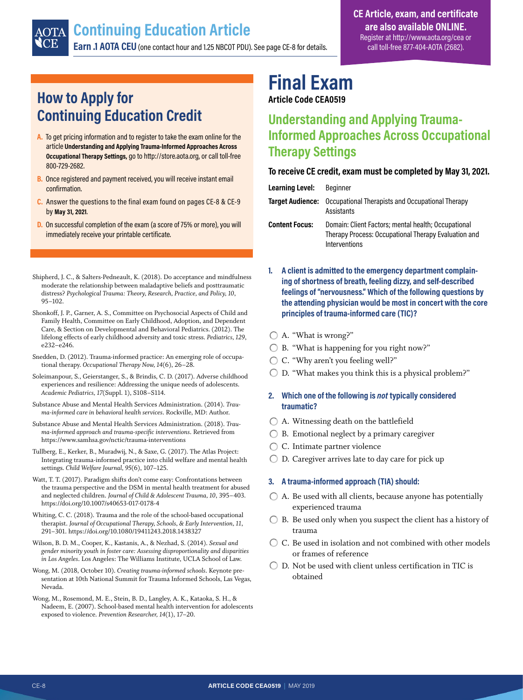## <span id="page-7-0"></span>**Continuing Education Article**

**Earn .1 AOTA CEU** (one contact hour and 1.25 NBCOT PDU). See page CE-8 for details.

### **How to Apply for Continuing Education Credit**

- **A.** To get pricing information and to register to take the exam online for the article **Understanding and Applying Trauma-Informed Approaches Across Occupational Therapy Settings,** go to http://store.aota.org, or call toll-free 800-729-2682.
- **B.** Once registered and payment received, you will receive instant email confirmation.
- **C.** Answer the questions to the final exam found on pages CE-8 & CE-9 by **May 31, 2021**.
- **D.** On successful completion of the exam (a score of 75% or more), you will immediately receive your printable certificate.
- Shipherd, J. C., & Salters-Pedneault, K. (2018). Do acceptance and mindfulness moderate the relationship between maladaptive beliefs and posttraumatic distress? *Psychological Trauma: Theory, Research, Practice, and Policy, 10*, 95–102.
- Shonkoff, J. P., Garner, A. S., Committee on Psychosocial Aspects of Child and Family Health, Committee on Early Childhood, Adoption, and Dependent Care, & Section on Developmental and Behavioral Pediatrics. (2012). The lifelong effects of early childhood adversity and toxic stress. *Pediatrics, 129*, e232–e246.
- Snedden, D. (2012). Trauma-informed practice: An emerging role of occupational therapy. *Occupational Therapy Now, 14*(6), 26–28.
- Soleimanpour, S., Geierstanger, S., & Brindis, C. D. (2017). Adverse childhood experiences and resilience: Addressing the unique needs of adolescents. *Academic Pediatrics, 17*(Suppl. 1), S108–S114.
- Substance Abuse and Mental Health Services Administration. (2014). *Trauma-informed care in behavioral health services*. Rockville, MD: Author.
- Substance Abuse and Mental Health Services Administration. (2018). *Trauma-informed approach and trauma-specific interventions*. Retrieved from <https://www.samhsa.gov/nctic/trauma-interventions>
- Tullberg, E., Kerker, B., Muradwij, N., & Saxe, G. (2017). The Atlas Project: Integrating trauma-informed practice into child welfare and mental health settings. *Child Welfare Journal, 95*(6), 107–125.
- Watt, T. T. (2017). Paradigm shifts don't come easy: Confrontations between the trauma perspective and the DSM in mental health treatment for abused and neglected children. *Journal of Child & Adolescent Trauma, 10*, 395–403. <https://doi.org/10.1007/s40653-017-0178-4>
- Whiting, C. C. (2018). Trauma and the role of the school-based occupational therapist. *Journal of Occupational Therapy, Schools, & Early Intervention, 11*, 291–301.<https://doi.org/10.1080/19411243.2018.1438327>
- Wilson, B. D. M., Cooper, K., Kastanis, A., & Nezhad, S. (2014). *Sexual and gender minority youth in foster care: Assessing disproportionality and disparities in Los Angeles*. Los Angeles: The Williams Institute, UCLA School of Law.
- Wong, M. (2018, October 10). *Creating trauma-informed schools*. Keynote presentation at 10th National Summit for Trauma Informed Schools, Las Vegas, Nevada.
- Wong, M., Rosemond, M. E., Stein, B. D., Langley, A. K., Kataoka, S. H., & Nadeem, E. (2007). School-based mental health intervention for adolescents exposed to violence. *Prevention Researcher, 14*(1), 17–20.

## **Final Exam**

**Article Code CEA0519**

### **Understanding and Applying Trauma-Informed Approaches Across Occupational Therapy Settings**

#### **To receive CE credit, exam must be completed by May 31, 2021.**

**Target Audience:** Occupational Therapists and Occupational Therapy Assistants

**Content Focus:** Domain: Client Factors; mental health; Occupational Therapy Process: Occupational Therapy Evaluation and Interventions

- **1. A client is admitted to the emergency department complaining of shortness of breath, feeling dizzy, and self-described feelings of "nervousness." Which of the following questions by the attending physician would be most in concert with the core principles of trauma-informed care (TIC)?**
- A. "What is wrong?"
- B. "What is happening for you right now?"
- C. "Why aren't you feeling well?"
- $\bigcirc$  D. "What makes you think this is a physical problem?"

#### **2. Which one of the following is** *not* **typically considered traumatic?**

- A. Witnessing death on the battlefield
- $\bigcirc$  B. Emotional neglect by a primary caregiver
- C. Intimate partner violence
- ◯ **D.** Caregiver arrives late to day care for pick up

#### **3. A trauma-informed approach (TIA) should:**

- $\bigcirc$  A. Be used with all clients, because anyone has potentially experienced trauma
- $\bigcirc$  B. Be used only when you suspect the client has a history of trauma
- C. Be used in isolation and not combined with other models or frames of reference
- $\bigcirc$  D. Not be used with client unless certification in TIC is obtained